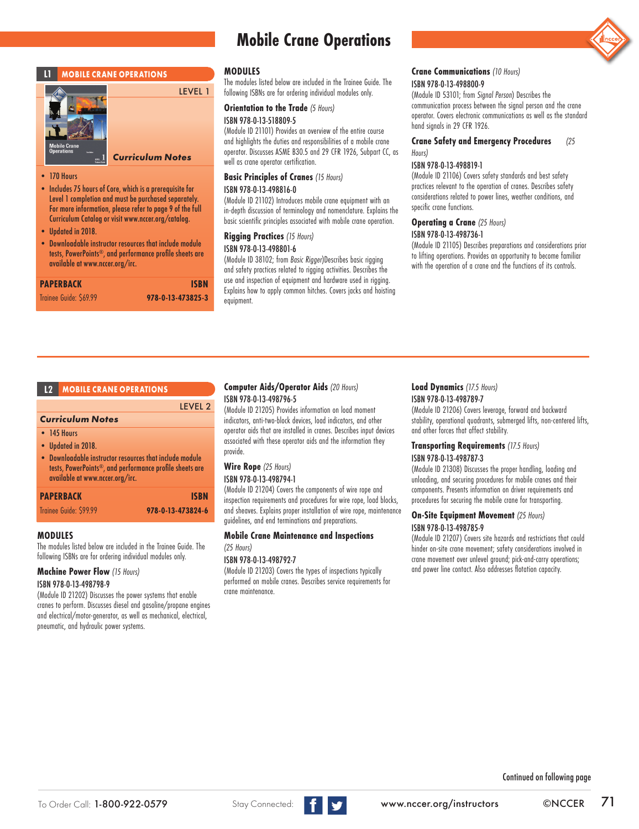## **MOBILE CRANE OPERATIONS**



# *Curriculum Notes*

- 170 Hours
- Includes 75 hours of Core, which is a prerequisite for Level 1 completion and must be purchased separately. For more information, please refer to page 9 of the full Curriculum Catalog or visit www.nccer.org/catalog.
- Updated in 2018.
- Downloadable instructor resources that include module tests, PowerPoints®, and performance profile sheets are available at www.nccer.org/irc.

| <b>PAPERBACK</b>       | <b>ISBN</b>       |
|------------------------|-------------------|
| Trainee Guide: \$69.99 | 978-0-13-473825-3 |

# **Mobile Crane Operations**

#### **MODULES**

LEVEL 1

LEVEL 2

The modules listed below are included in the Trainee Guide. The following ISBNs are for ordering individual modules only.

#### **Orientation to the Trade** *(5 Hours)*

#### ISBN 978-0-13-518809-5

(Module ID 21101) Provides an overview of the entire course and highlights the duties and responsibilities of a mobile crane operator. Discusses ASME B30.5 and 29 CFR 1926, Subpart CC, as well as crane operator certification.

#### **Basic Principles of Cranes** *(15 Hours)*

#### ISBN 978-0-13-498816-0

(Module ID 21102) Introduces mobile crane equipment with an in-depth discussion of terminology and nomenclature. Explains the basic scientific principles associated with mobile crane operation.

#### **Rigging Practices** *(15 Hours)* ISBN 978-0-13-498801-6

(Module ID 38102; from *Basic Rigger*)Describes basic rigging and safety practices related to rigging activities. Describes the use and inspection of equipment and hardware used in rigging. Explains how to apply common hitches. Covers jacks and hoisting equipment.

#### **Crane Communications** *(10 Hours)* ISBN 978-0-13-498800-9

(Module ID 53101; from *Signal Person*) Describes the communication process between the signal person and the crane operator. Covers electronic communications as well as the standard hand signals in 29 CFR 1926.

#### **Crane Safety and Emergency Procedures** *(25 Hours)*

#### ISBN 978-0-13-498819-1

(Module ID 21106) Covers safety standards and best safety practices relevant to the operation of cranes. Describes safety considerations related to power lines, weather conditions, and specific crane functions.

# **Operating a Crane** *(25 Hours)*

#### ISBN 978-0-13-498736-1

(Module ID 21105) Describes preparations and considerations prior to lifting operations. Provides an opportunity to become familiar with the operation of a crane and the functions of its controls.

#### *Curriculum Notes*

- 145 Hours
- Updated in 2018.
- Downloadable instructor resources that include module tests, PowerPoints®, and performance profile sheets are available at www.nccer.org/irc.
- **PAPERBACK ISBN**

#### Trainee Guide: \$99.99 **978-0-13-473824-6**

#### **MODULES**

The modules listed below are included in the Trainee Guide. The following ISBNs are for ordering individual modules only.

#### **Machine Power Flow** *(15 Hours)*

#### ISBN 978-0-13-498798-9

(Module ID 21202) Discusses the power systems that enable cranes to perform. Discusses diesel and gasoline/propane engines and electrical/motor-generator, as well as mechanical, electrical, pneumatic, and hydraulic power systems.

#### **L2 MOBILE CRANE OPERATIONS Computer Aids/Operator Aids** *(20 Hours)* ISBN 978-0-13-498796-5

(Module ID 21205) Provides information on load moment indicators, anti-two-block devices, load indicators, and other operator aids that are installed in cranes. Describes input devices associated with these operator aids and the information they provide.

# **Wire Rope** *(25 Hours)*

#### ISBN 978-0-13-498794-1

(Module ID 21204) Covers the components of wire rope and inspection requirements and procedures for wire rope, load blocks, and sheaves. Explains proper installation of wire rope, maintenance guidelines, and end terminations and preparations.

#### **Mobile Crane Maintenance and Inspections**  *(25 Hours)*

#### ISBN 978-0-13-498792-7

(Module ID 21203) Covers the types of inspections typically performed on mobile cranes. Describes service requirements for crane maintenance.

#### **Load Dynamics** *(17.5 Hours)* ISBN 978-0-13-498789-7

(Module ID 21206) Covers leverage, forward and backward stability, operational quadrants, submerged lifts, non-centered lifts, and other forces that affect stability.

#### **Transporting Requirements** *(17.5 Hours)* ISBN 978-0-13-498787-3

(Module ID 21308) Discusses the proper handling, loading and unloading, and securing procedures for mobile cranes and their components. Presents information on driver requirements and procedures for securing the mobile crane for transporting.

#### **On-Site Equipment Movement** *(25 Hours)* ISBN 978-0-13-498785-9

(Module ID 21207) Covers site hazards and restrictions that could hinder on-site crane movement; safety considerations involved in crane movement over unlevel ground; pick-and-carry operations; and power line contact. Also addresses flotation capacity.

Continued on following page